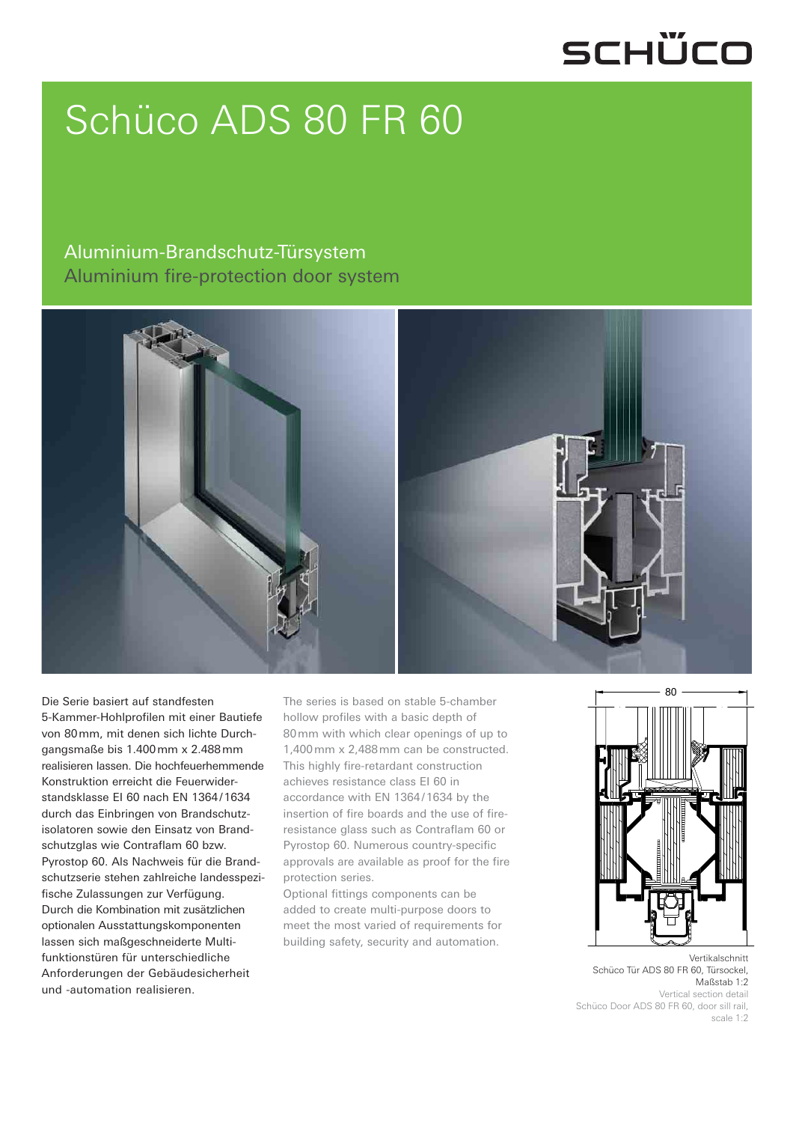## SCHÜCO

# Schüco ADS 80 FR 60

#### Aluminium-Brandschutz-Türsystem Aluminium fire-protection door system



Die Serie basiert auf standfesten 5-Kammer-Hohlprofilen mit einer Bautiefe von 80 mm, mit denen sich lichte Durchgangsmaße bis 1.400 mm x 2.488 mm realisieren lassen. Die hochfeuerhemmende Konstruktion erreicht die Feuerwiderstandsklasse EI 60 nach EN 1364 / 1634 durch das Einbringen von Brandschutzisolatoren sowie den Einsatz von Brandschutzglas wie Contraflam 60 bzw. Pyrostop 60. Als Nachweis für die Brandschutzserie stehen zahlreiche landesspezifische Zulassungen zur Verfügung. Durch die Kombination mit zusätzlichen optionalen Ausstattungskomponenten lassen sich maßgeschneiderte Multifunktionstüren für unterschiedliche Anforderungen der Gebäudesicherheit und -automation realisieren.

The series is based on stable 5-chamber hollow profiles with a basic depth of 80 mm with which clear openings of up to 1,400 mm x 2,488 mm can be constructed. This highly fire-retardant construction achieves resistance class EI 60 in accordance with EN 1364 / 1634 by the insertion of fire boards and the use of fireresistance glass such as Contraflam 60 or Pyrostop 60. Numerous country-specific approvals are available as proof for the fire protection series.

Optional fittings components can be added to create multi-purpose doors to meet the most varied of requirements for building safety, security and automation.



Vertikalschnitt Schüco Tür ADS 80 FR 60, Türsockel, Maßstab 1:2 Vertical section detail Schüco Door ADS 80 FR 60, door sill rail,

scale 1:2